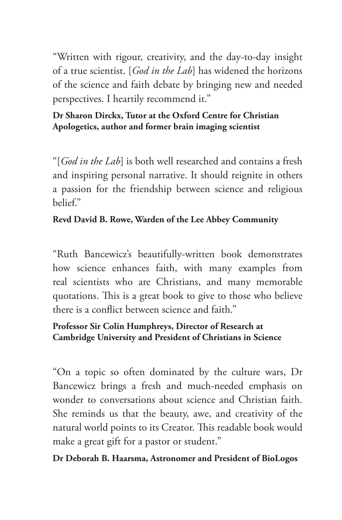"Written with rigour, creativity, and the day-to-day insight of a true scientist. [*God in the Lab*] has widened the horizons of the science and faith debate by bringing new and needed perspectives. I heartily recommend it."

### **Dr Sharon Dirckx, Tutor at the Oxford Centre for Christian Apologetics, author and former brain imaging scientist**

"[*God in the Lab*] is both well researched and contains a fresh and inspiring personal narrative. It should reignite in others a passion for the friendship between science and religious belief."

### **Revd David B. Rowe, Warden of the Lee Abbey Community**

"Ruth Bancewicz's beautifully-written book demonstrates how science enhances faith, with many examples from real scientists who are Christians, and many memorable quotations. This is a great book to give to those who believe there is a conflict between science and faith."

### **Professor Sir Colin Humphreys, Director of Research at Cambridge University and President of Christians in Science**

"On a topic so often dominated by the culture wars, Dr Bancewicz brings a fresh and much-needed emphasis on wonder to conversations about science and Christian faith. She reminds us that the beauty, awe, and creativity of the natural world points to its Creator. This readable book would make a great gift for a pastor or student."

### **Dr Deborah B. Haarsma, Astronomer and President of BioLogos**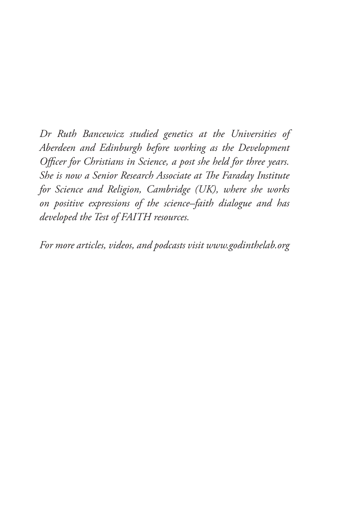*Dr Ruth Bancewicz studied genetics at the Universities of Aberdeen and Edinburgh before working as the Development Officer for Christians in Science, a post she held for three years. She is now a Senior Research Associate at The Faraday Institute for Science and Religion, Cambridge (UK), where she works on positive expressions of the science–faith dialogue and has developed the Test of FAITH resources.*

*For more articles, videos, and podcasts visit www.godinthelab.org*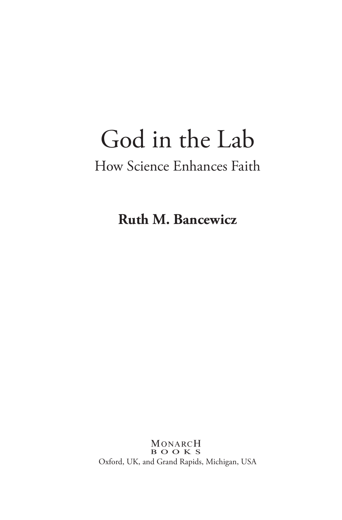## God in the Lab How Science Enhances Faith

**Ruth M. Bancewicz**

MONARCH **BOOKS** Oxford, UK, and Grand Rapids, Michigan, USA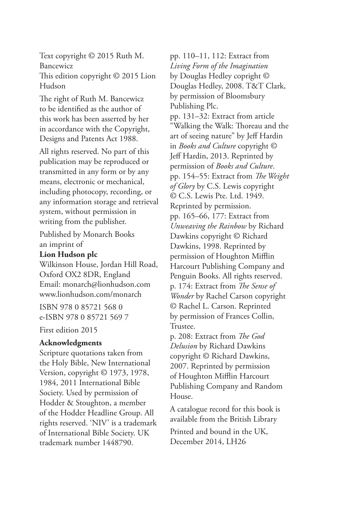Text copyright © 2015 Ruth M. Bancewicz This edition copyright © 2015 Lion Hudson

The right of Ruth M. Bancewicz to be identified as the author of this work has been asserted by her in accordance with the Copyright, Designs and Patents Act 1988.

All rights reserved. No part of this publication may be reproduced or transmitted in any form or by any means, electronic or mechanical, including photocopy, recording, or any information storage and retrieval system, without permission in writing from the publisher.

Published by Monarch Books an imprint of

### **Lion Hudson plc**

Wilkinson House, Jordan Hill Road, Oxford OX2 8DR, England Email: monarch@lionhudson.com www.lionhudson.com/monarch

ISBN 978 0 85721 568 0 e-ISBN 978 0 85721 569 7

First edition 2015

#### **Acknowledgments**

Scripture quotations taken from the Holy Bible, New International Version, copyright © 1973, 1978, 1984, 2011 International Bible Society. Used by permission of Hodder & Stoughton, a member of the Hodder Headline Group. All rights reserved. 'NIV' is a trademark of International Bible Society. UK trademark number 1448790.

pp. 110–11, 112: Extract from *Living Form of the Imagination* by Douglas Hedley copright © Douglas Hedley, 2008. T&T Clark, by permission of Bloomsbury Publishing Plc. pp. 131–32: Extract from article "Walking the Walk: Thoreau and the art of seeing nature" by Jeff Hardin in *Books and Culture* copyright © Jeff Hardin, 2013. Reprinted by permission of *Books and Culture*. pp. 154–55: Extract from *The Weight of Glory* by C.S. Lewis copyright © C.S. Lewis Pte. Ltd. 1949. Reprinted by permission. pp. 165–66, 177: Extract from *Unweaving the Rainbow* by Richard Dawkins copyright © Richard Dawkins, 1998. Reprinted by permission of Houghton Mifflin Harcourt Publishing Company and Penguin Books. All rights reserved. p. 174: Extract from *The Sense of Wonder* by Rachel Carson copyright © Rachel L. Carson. Reprinted by permission of Frances Collin, Trustee.

p. 208: Extract from *The God Delusion* by Richard Dawkins copyright © Richard Dawkins, 2007. Reprinted by permission of Houghton Mifflin Harcourt Publishing Company and Random House.

A catalogue record for this book is available from the British Library

Printed and bound in the UK, December 2014, LH26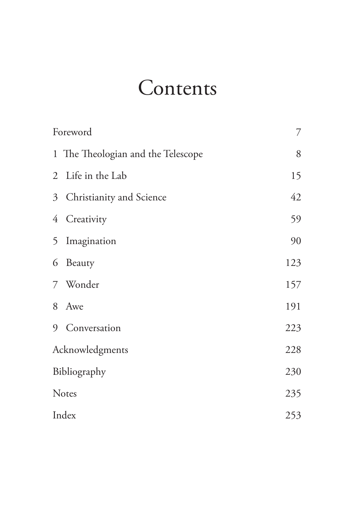# Contents

| Foreword        |                                    | 7   |
|-----------------|------------------------------------|-----|
|                 | 1 The Theologian and the Telescope | 8   |
| 2               | Life in the Lab                    | 15  |
| $\mathfrak{Z}$  | Christianity and Science           | 42  |
| 4               | Creativity                         | 59  |
| 5               | Imagination                        | 90  |
| 6               | Beauty                             | 123 |
| 7               | Wonder                             | 157 |
| 8               | Awe                                | 191 |
| 9               | Conversation                       | 223 |
| Acknowledgments |                                    | 228 |
| Bibliography    |                                    | 230 |
| Notes           |                                    | 235 |
| Index           |                                    | 253 |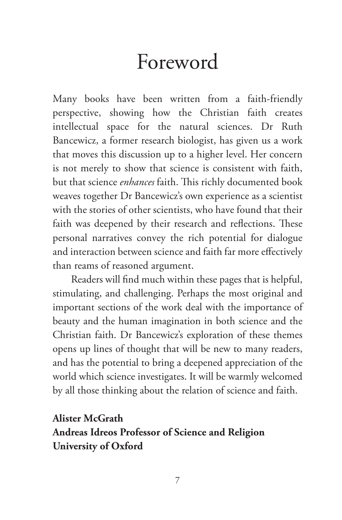## Foreword

Many books have been written from a faith-friendly perspective, showing how the Christian faith creates intellectual space for the natural sciences. Dr Ruth Bancewicz, a former research biologist, has given us a work that moves this discussion up to a higher level. Her concern is not merely to show that science is consistent with faith, but that science *enhances* faith. This richly documented book weaves together Dr Bancewicz's own experience as a scientist with the stories of other scientists, who have found that their faith was deepened by their research and reflections. These personal narratives convey the rich potential for dialogue and interaction between science and faith far more effectively than reams of reasoned argument.

Readers will find much within these pages that is helpful, stimulating, and challenging. Perhaps the most original and important sections of the work deal with the importance of beauty and the human imagination in both science and the Christian faith. Dr Bancewicz's exploration of these themes opens up lines of thought that will be new to many readers, and has the potential to bring a deepened appreciation of the world which science investigates. It will be warmly welcomed by all those thinking about the relation of science and faith.

**Alister McGrath Andreas Idreos Professor of Science and Religion University of Oxford**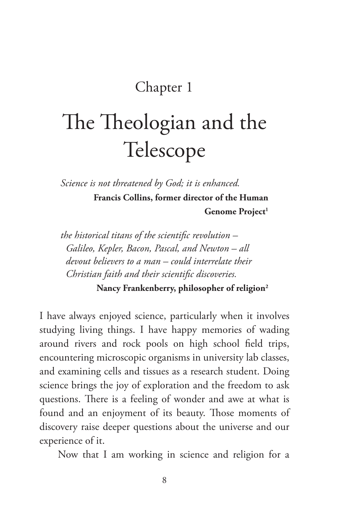## Chapter 1

# The Theologian and the Telescope

*Science is not threatened by God; it is enhanced.* **Francis Collins, former director of the Human**  Genome Project<sup>1</sup>

*the historical titans of the scientific revolution – Galileo, Kepler, Bacon, Pascal, and Newton – all devout believers to a man – could interrelate their Christian faith and their scientific discoveries.*

**Nancy Frankenberry, philosopher of religion2**

I have always enjoyed science, particularly when it involves studying living things. I have happy memories of wading around rivers and rock pools on high school field trips, encountering microscopic organisms in university lab classes, and examining cells and tissues as a research student. Doing science brings the joy of exploration and the freedom to ask questions. There is a feeling of wonder and awe at what is found and an enjoyment of its beauty. Those moments of discovery raise deeper questions about the universe and our experience of it.

Now that I am working in science and religion for a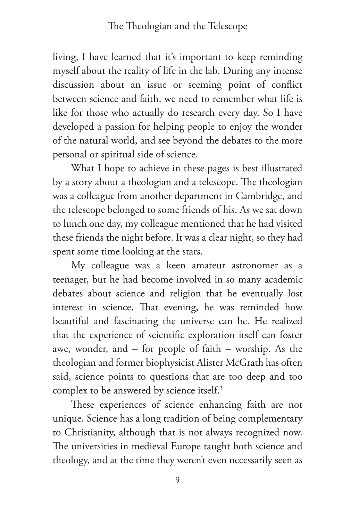### The Theologian and the Telescope

living, I have learned that it's important to keep reminding myself about the reality of life in the lab. During any intense discussion about an issue or seeming point of conflict between science and faith, we need to remember what life is like for those who actually do research every day. So I have developed a passion for helping people to enjoy the wonder of the natural world, and see beyond the debates to the more personal or spiritual side of science.

What I hope to achieve in these pages is best illustrated by a story about a theologian and a telescope. The theologian was a colleague from another department in Cambridge, and the telescope belonged to some friends of his. As we sat down to lunch one day, my colleague mentioned that he had visited these friends the night before. It was a clear night, so they had spent some time looking at the stars.

My colleague was a keen amateur astronomer as a teenager, but he had become involved in so many academic debates about science and religion that he eventually lost interest in science. That evening, he was reminded how beautiful and fascinating the universe can be. He realized that the experience of scientific exploration itself can foster awe, wonder, and – for people of faith – worship. As the theologian and former biophysicist Alister McGrath has often said, science points to questions that are too deep and too complex to be answered by science itself.<sup>3</sup>

These experiences of science enhancing faith are not unique. Science has a long tradition of being complementary to Christianity, although that is not always recognized now. The universities in medieval Europe taught both science and theology, and at the time they weren't even necessarily seen as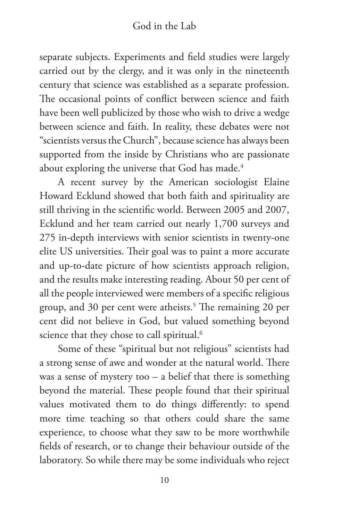separate subjects. Experiments and field studies were largely carried out by the clergy, and it was only in the nineteenth century that science was established as a separate profession. The occasional points of conflict between science and faith have been well publicized by those who wish to drive a wedge between science and faith. In reality, these debates were not "scientists versus the Church", because science has always been supported from the inside by Christians who are passionate about exploring the universe that God has made.<sup>4</sup>

A recent survey by the American sociologist Elaine Howard Ecklund showed that both faith and spirituality are still thriving in the scientific world. Between 2005 and 2007, Ecklund and her team carried out nearly 1,700 surveys and 275 in-depth interviews with senior scientists in twenty-one elite US universities. Their goal was to paint a more accurate and up-to-date picture of how scientists approach religion, and the results make interesting reading. About 50 per cent of all the people interviewed were members of a specific religious group, and 30 per cent were atheists.5 The remaining 20 per cent did not believe in God, but valued something beyond science that they chose to call spiritual.<sup>6</sup>

Some of these "spiritual but not religious" scientists had a strong sense of awe and wonder at the natural world. There was a sense of mystery too  $-$  a belief that there is something beyond the material. These people found that their spiritual values motivated them to do things differently: to spend more time teaching so that others could share the same experience, to choose what they saw to be more worthwhile fields of research, or to change their behaviour outside of the laboratory. So while there may be some individuals who reject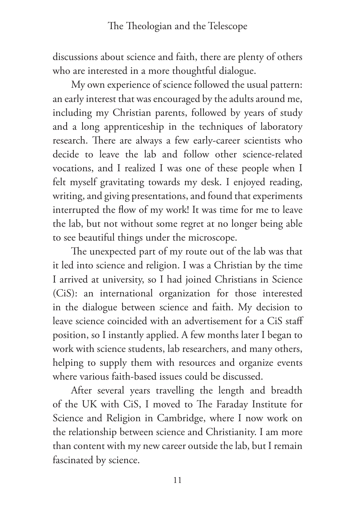### The Theologian and the Telescope

discussions about science and faith, there are plenty of others who are interested in a more thoughtful dialogue.

My own experience of science followed the usual pattern: an early interest that was encouraged by the adults around me, including my Christian parents, followed by years of study and a long apprenticeship in the techniques of laboratory research. There are always a few early-career scientists who decide to leave the lab and follow other science-related vocations, and I realized I was one of these people when I felt myself gravitating towards my desk. I enjoyed reading, writing, and giving presentations, and found that experiments interrupted the flow of my work! It was time for me to leave the lab, but not without some regret at no longer being able to see beautiful things under the microscope.

The unexpected part of my route out of the lab was that it led into science and religion. I was a Christian by the time I arrived at university, so I had joined Christians in Science (CiS): an international organization for those interested in the dialogue between science and faith. My decision to leave science coincided with an advertisement for a CiS staff position, so I instantly applied. A few months later I began to work with science students, lab researchers, and many others, helping to supply them with resources and organize events where various faith-based issues could be discussed.

After several years travelling the length and breadth of the UK with CiS, I moved to The Faraday Institute for Science and Religion in Cambridge, where I now work on the relationship between science and Christianity. I am more than content with my new career outside the lab, but I remain fascinated by science.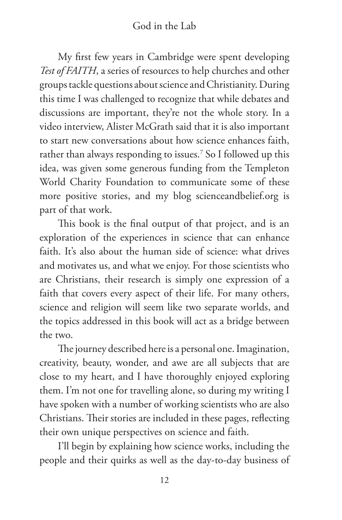### God in the Lab

My first few years in Cambridge were spent developing *Test of FAITH*, a series of resources to help churches and other groups tackle questions about science and Christianity. During this time I was challenged to recognize that while debates and discussions are important, they're not the whole story. In a video interview, Alister McGrath said that it is also important to start new conversations about how science enhances faith, rather than always responding to issues.7 So I followed up this idea, was given some generous funding from the Templeton World Charity Foundation to communicate some of these more positive stories, and my blog scienceandbelief.org is part of that work.

This book is the final output of that project, and is an exploration of the experiences in science that can enhance faith. It's also about the human side of science: what drives and motivates us, and what we enjoy. For those scientists who are Christians, their research is simply one expression of a faith that covers every aspect of their life. For many others, science and religion will seem like two separate worlds, and the topics addressed in this book will act as a bridge between the two.

The journey described here is a personal one. Imagination, creativity, beauty, wonder, and awe are all subjects that are close to my heart, and I have thoroughly enjoyed exploring them. I'm not one for travelling alone, so during my writing I have spoken with a number of working scientists who are also Christians. Their stories are included in these pages, reflecting their own unique perspectives on science and faith.

I'll begin by explaining how science works, including the people and their quirks as well as the day-to-day business of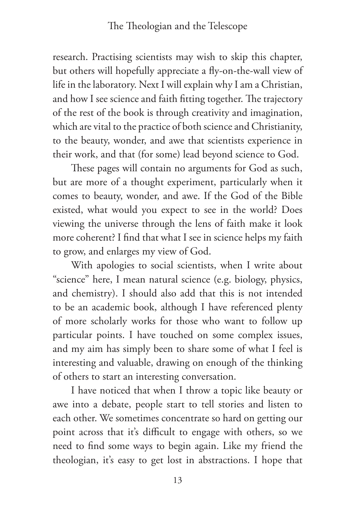### The Theologian and the Telescope

research. Practising scientists may wish to skip this chapter, but others will hopefully appreciate a fly-on-the-wall view of life in the laboratory. Next I will explain why I am a Christian, and how I see science and faith fitting together. The trajectory of the rest of the book is through creativity and imagination, which are vital to the practice of both science and Christianity, to the beauty, wonder, and awe that scientists experience in their work, and that (for some) lead beyond science to God.

These pages will contain no arguments for God as such, but are more of a thought experiment, particularly when it comes to beauty, wonder, and awe. If the God of the Bible existed, what would you expect to see in the world? Does viewing the universe through the lens of faith make it look more coherent? I find that what I see in science helps my faith to grow, and enlarges my view of God.

With apologies to social scientists, when I write about "science" here, I mean natural science (e.g. biology, physics, and chemistry). I should also add that this is not intended to be an academic book, although I have referenced plenty of more scholarly works for those who want to follow up particular points. I have touched on some complex issues, and my aim has simply been to share some of what I feel is interesting and valuable, drawing on enough of the thinking of others to start an interesting conversation.

I have noticed that when I throw a topic like beauty or awe into a debate, people start to tell stories and listen to each other. We sometimes concentrate so hard on getting our point across that it's difficult to engage with others, so we need to find some ways to begin again. Like my friend the theologian, it's easy to get lost in abstractions. I hope that